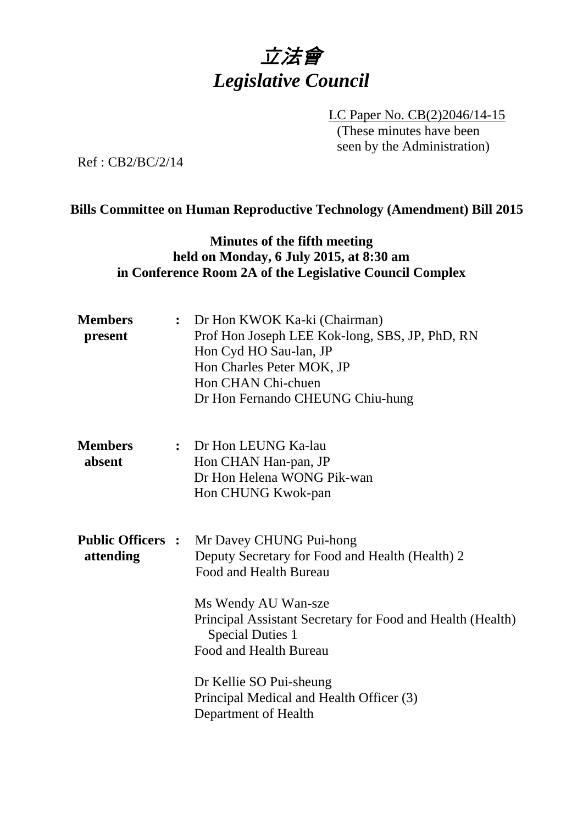

LC Paper No. CB(2)2046/14-15 (These minutes have been seen by the Administration)

Ref : CB2/BC/2/14

## **Bills Committee on Human Reproductive Technology (Amendment) Bill 2015**

## **Minutes of the fifth meeting held on Monday, 6 July 2015, at 8:30 am in Conference Room 2A of the Legislative Council Complex**

| <b>Members</b><br>present             | : Dr Hon KWOK Ka-ki (Chairman)<br>Prof Hon Joseph LEE Kok-long, SBS, JP, PhD, RN<br>Hon Cyd HO Sau-lan, JP<br>Hon Charles Peter MOK, JP<br>Hon CHAN Chi-chuen<br>Dr Hon Fernando CHEUNG Chiu-hung                                                                                                                                             |
|---------------------------------------|-----------------------------------------------------------------------------------------------------------------------------------------------------------------------------------------------------------------------------------------------------------------------------------------------------------------------------------------------|
| <b>Members</b><br>absent              | : Dr Hon LEUNG Ka-lau<br>Hon CHAN Han-pan, JP<br>Dr Hon Helena WONG Pik-wan<br>Hon CHUNG Kwok-pan                                                                                                                                                                                                                                             |
| <b>Public Officers :</b><br>attending | Mr Davey CHUNG Pui-hong<br>Deputy Secretary for Food and Health (Health) 2<br>Food and Health Bureau<br>Ms Wendy AU Wan-sze<br>Principal Assistant Secretary for Food and Health (Health)<br><b>Special Duties 1</b><br>Food and Health Bureau<br>Dr Kellie SO Pui-sheung<br>Principal Medical and Health Officer (3)<br>Department of Health |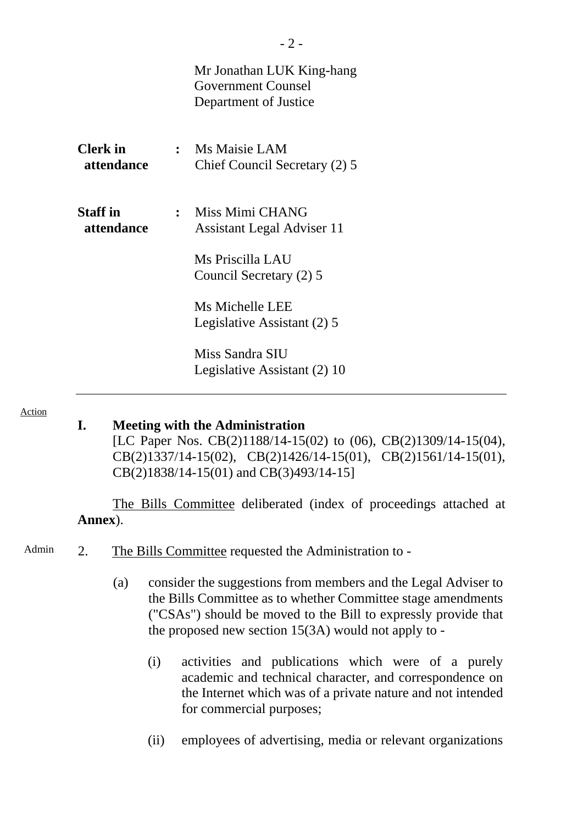|                               | Mr Jonathan LUK King-hang<br>Government Counsel<br>Department of Justice |
|-------------------------------|--------------------------------------------------------------------------|
| <b>Clerk</b> in<br>attendance | : Ms Maisie LAM<br>Chief Council Secretary (2) 5                         |
| <b>Staff</b> in<br>attendance | : Miss Mimi CHANG<br><b>Assistant Legal Adviser 11</b>                   |
|                               | Ms Priscilla LAU<br>Council Secretary (2) 5                              |
|                               | Ms Michelle LEE<br>Legislative Assistant (2) 5                           |
|                               | Miss Sandra SIU<br>Legislative Assistant (2) 10                          |

#### Action

### **I. Meeting with the Administration**

[LC Paper Nos. CB(2)1188/14-15(02) to (06), CB(2)1309/14-15(04), CB(2)1337/14-15(02), CB(2)1426/14-15(01), CB(2)1561/14-15(01), CB(2)1838/14-15(01) and CB(3)493/14-15]

The Bills Committee deliberated (index of proceedings attached at **Annex**).

- Admin 2. The Bills Committee requested the Administration to -
	- (a) consider the suggestions from members and the Legal Adviser to the Bills Committee as to whether Committee stage amendments ("CSAs") should be moved to the Bill to expressly provide that the proposed new section 15(3A) would not apply to -
		- (i) activities and publications which were of a purely academic and technical character, and correspondence on the Internet which was of a private nature and not intended for commercial purposes;
		- (ii) employees of advertising, media or relevant organizations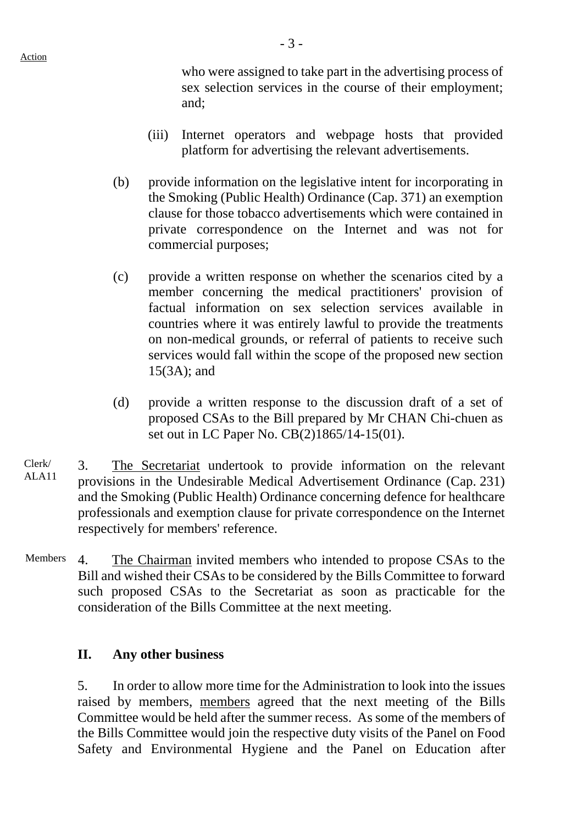who were assigned to take part in the advertising process of sex selection services in the course of their employment; and;

- (iii) Internet operators and webpage hosts that provided platform for advertising the relevant advertisements.
- (b) provide information on the legislative intent for incorporating in the Smoking (Public Health) Ordinance (Cap. 371) an exemption clause for those tobacco advertisements which were contained in private correspondence on the Internet and was not for commercial purposes;
- (c) provide a written response on whether the scenarios cited by a member concerning the medical practitioners' provision of factual information on sex selection services available in countries where it was entirely lawful to provide the treatments on non-medical grounds, or referral of patients to receive such services would fall within the scope of the proposed new section 15(3A); and
- (d) provide a written response to the discussion draft of a set of proposed CSAs to the Bill prepared by Mr CHAN Chi-chuen as set out in LC Paper No. CB(2)1865/14-15(01).
- Clerk/ Clerk 3. The Secretariat undertook to provide information on the relevant  $ALA1$ provisions in the Undesirable Medical Advertisement Ordinance (Cap. 231) and the Smoking (Public Health) Ordinance concerning defence for healthcare professionals and exemption clause for private correspondence on the Internet respectively for members' reference.
- Members 4. The Chairman invited members who intended to propose CSAs to the Bill and wished their CSAs to be considered by the Bills Committee to forward such proposed CSAs to the Secretariat as soon as practicable for the consideration of the Bills Committee at the next meeting.

### **II. Any other business**

5. In order to allow more time for the Administration to look into the issues raised by members, members agreed that the next meeting of the Bills Committee would be held after the summer recess. As some of the members of the Bills Committee would join the respective duty visits of the Panel on Food Safety and Environmental Hygiene and the Panel on Education after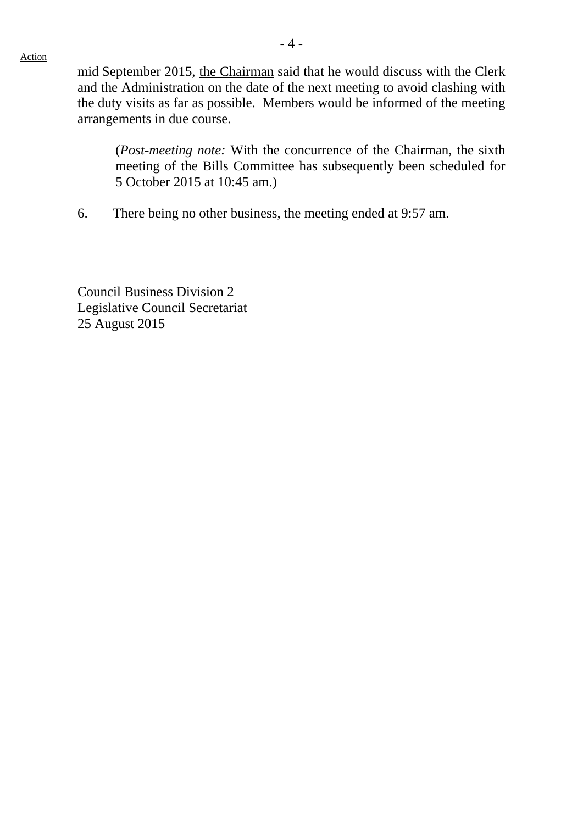mid September 2015, the Chairman said that he would discuss with the Clerk and the Administration on the date of the next meeting to avoid clashing with the duty visits as far as possible. Members would be informed of the meeting arrangements in due course.

(*Post-meeting note:* With the concurrence of the Chairman, the sixth meeting of the Bills Committee has subsequently been scheduled for 5 October 2015 at 10:45 am.)

6. There being no other business, the meeting ended at 9:57 am.

Council Business Division 2 Legislative Council Secretariat 25 August 2015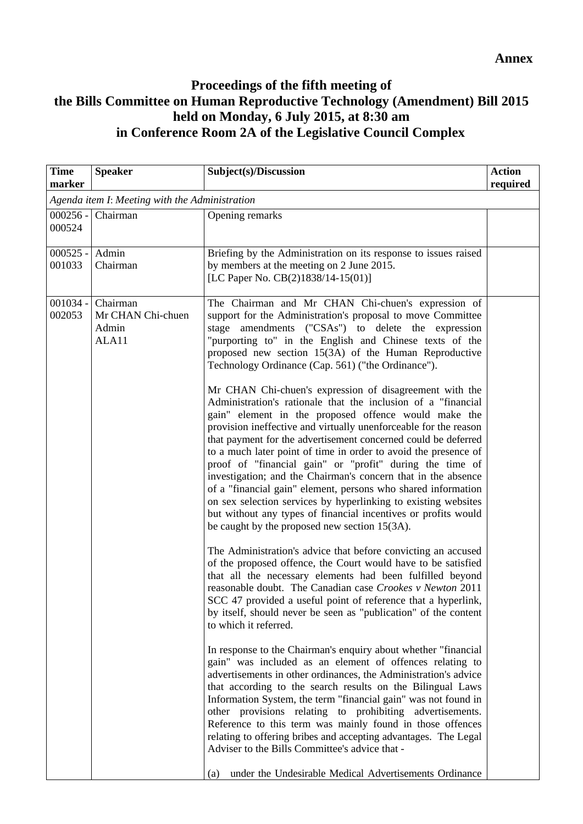# **Proceedings of the fifth meeting of the Bills Committee on Human Reproductive Technology (Amendment) Bill 2015 held on Monday, 6 July 2015, at 8:30 am in Conference Room 2A of the Legislative Council Complex**

| <b>Time</b><br>marker                          | <b>Speaker</b>                                  | Subject(s)/Discussion                                                                                                                                                                                                                                                                                                                                                                                                                                                                                                                                                                                                                                                                                                                                                                                                                                                                                                                                                                                                                                                                                                                                                                                                                                                                                                                                                                                                                                                                                                                                                                                                                                                                                                                                                                                                                                                                                                                                                                                                                                                                                                                      | <b>Action</b><br>required |
|------------------------------------------------|-------------------------------------------------|--------------------------------------------------------------------------------------------------------------------------------------------------------------------------------------------------------------------------------------------------------------------------------------------------------------------------------------------------------------------------------------------------------------------------------------------------------------------------------------------------------------------------------------------------------------------------------------------------------------------------------------------------------------------------------------------------------------------------------------------------------------------------------------------------------------------------------------------------------------------------------------------------------------------------------------------------------------------------------------------------------------------------------------------------------------------------------------------------------------------------------------------------------------------------------------------------------------------------------------------------------------------------------------------------------------------------------------------------------------------------------------------------------------------------------------------------------------------------------------------------------------------------------------------------------------------------------------------------------------------------------------------------------------------------------------------------------------------------------------------------------------------------------------------------------------------------------------------------------------------------------------------------------------------------------------------------------------------------------------------------------------------------------------------------------------------------------------------------------------------------------------------|---------------------------|
| Agenda item I: Meeting with the Administration |                                                 |                                                                                                                                                                                                                                                                                                                                                                                                                                                                                                                                                                                                                                                                                                                                                                                                                                                                                                                                                                                                                                                                                                                                                                                                                                                                                                                                                                                                                                                                                                                                                                                                                                                                                                                                                                                                                                                                                                                                                                                                                                                                                                                                            |                           |
| $000256 -$<br>000524                           | Chairman                                        | Opening remarks                                                                                                                                                                                                                                                                                                                                                                                                                                                                                                                                                                                                                                                                                                                                                                                                                                                                                                                                                                                                                                                                                                                                                                                                                                                                                                                                                                                                                                                                                                                                                                                                                                                                                                                                                                                                                                                                                                                                                                                                                                                                                                                            |                           |
| $000525 -$<br>001033                           | Admin<br>Chairman                               | Briefing by the Administration on its response to issues raised<br>by members at the meeting on 2 June 2015.<br>[LC Paper No. CB(2)1838/14-15(01)]                                                                                                                                                                                                                                                                                                                                                                                                                                                                                                                                                                                                                                                                                                                                                                                                                                                                                                                                                                                                                                                                                                                                                                                                                                                                                                                                                                                                                                                                                                                                                                                                                                                                                                                                                                                                                                                                                                                                                                                         |                           |
| $001034 -$<br>002053                           | Chairman<br>Mr CHAN Chi-chuen<br>Admin<br>ALA11 | The Chairman and Mr CHAN Chi-chuen's expression of<br>support for the Administration's proposal to move Committee<br>stage amendments ("CSAs") to delete the expression<br>"purporting to" in the English and Chinese texts of the<br>proposed new section 15(3A) of the Human Reproductive<br>Technology Ordinance (Cap. 561) ("the Ordinance").<br>Mr CHAN Chi-chuen's expression of disagreement with the<br>Administration's rationale that the inclusion of a "financial<br>gain" element in the proposed offence would make the<br>provision ineffective and virtually unenforceable for the reason<br>that payment for the advertisement concerned could be deferred<br>to a much later point of time in order to avoid the presence of<br>proof of "financial gain" or "profit" during the time of<br>investigation; and the Chairman's concern that in the absence<br>of a "financial gain" element, persons who shared information<br>on sex selection services by hyperlinking to existing websites<br>but without any types of financial incentives or profits would<br>be caught by the proposed new section 15(3A).<br>The Administration's advice that before convicting an accused<br>of the proposed offence, the Court would have to be satisfied<br>that all the necessary elements had been fulfilled beyond<br>reasonable doubt. The Canadian case Crookes v Newton 2011<br>SCC 47 provided a useful point of reference that a hyperlink,<br>by itself, should never be seen as "publication" of the content<br>to which it referred.<br>In response to the Chairman's enquiry about whether "financial"<br>gain" was included as an element of offences relating to<br>advertisements in other ordinances, the Administration's advice<br>that according to the search results on the Bilingual Laws<br>Information System, the term "financial gain" was not found in<br>other provisions relating to prohibiting advertisements.<br>Reference to this term was mainly found in those offences<br>relating to offering bribes and accepting advantages. The Legal<br>Adviser to the Bills Committee's advice that - |                           |
|                                                |                                                 | under the Undesirable Medical Advertisements Ordinance<br>(a)                                                                                                                                                                                                                                                                                                                                                                                                                                                                                                                                                                                                                                                                                                                                                                                                                                                                                                                                                                                                                                                                                                                                                                                                                                                                                                                                                                                                                                                                                                                                                                                                                                                                                                                                                                                                                                                                                                                                                                                                                                                                              |                           |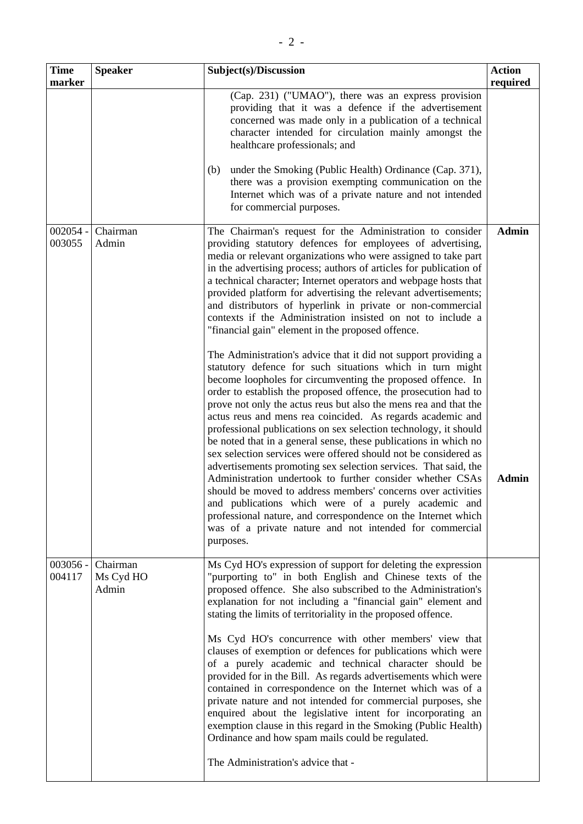| <b>Time</b><br>marker | <b>Speaker</b>                 | Subject(s)/Discussion                                                                                                                                                                                                                                                                                                                                                                                                                                                                                                                                                                                                                                                                                                                                                                                                                                                                                                                                                                                        | <b>Action</b><br>required |
|-----------------------|--------------------------------|--------------------------------------------------------------------------------------------------------------------------------------------------------------------------------------------------------------------------------------------------------------------------------------------------------------------------------------------------------------------------------------------------------------------------------------------------------------------------------------------------------------------------------------------------------------------------------------------------------------------------------------------------------------------------------------------------------------------------------------------------------------------------------------------------------------------------------------------------------------------------------------------------------------------------------------------------------------------------------------------------------------|---------------------------|
|                       |                                | (Cap. 231) ("UMAO"), there was an express provision<br>providing that it was a defence if the advertisement<br>concerned was made only in a publication of a technical<br>character intended for circulation mainly amongst the<br>healthcare professionals; and<br>under the Smoking (Public Health) Ordinance (Cap. 371),<br>(b)<br>there was a provision exempting communication on the<br>Internet which was of a private nature and not intended<br>for commercial purposes.                                                                                                                                                                                                                                                                                                                                                                                                                                                                                                                            |                           |
| $002054 -$<br>003055  | Chairman<br>Admin              | The Chairman's request for the Administration to consider<br>providing statutory defences for employees of advertising,<br>media or relevant organizations who were assigned to take part<br>in the advertising process; authors of articles for publication of<br>a technical character; Internet operators and webpage hosts that<br>provided platform for advertising the relevant advertisements;<br>and distributors of hyperlink in private or non-commercial<br>contexts if the Administration insisted on not to include a<br>"financial gain" element in the proposed offence.                                                                                                                                                                                                                                                                                                                                                                                                                      | <b>Admin</b>              |
|                       |                                | The Administration's advice that it did not support providing a<br>statutory defence for such situations which in turn might<br>become loopholes for circumventing the proposed offence. In<br>order to establish the proposed offence, the prosecution had to<br>prove not only the actus reus but also the mens rea and that the<br>actus reus and mens rea coincided. As regards academic and<br>professional publications on sex selection technology, it should<br>be noted that in a general sense, these publications in which no<br>sex selection services were offered should not be considered as<br>advertisements promoting sex selection services. That said, the<br>Administration undertook to further consider whether CSAs<br>should be moved to address members' concerns over activities<br>and publications which were of a purely academic and<br>professional nature, and correspondence on the Internet which<br>was of a private nature and not intended for commercial<br>purposes. | <b>Admin</b>              |
| $003056 -$<br>004117  | Chairman<br>Ms Cyd HO<br>Admin | Ms Cyd HO's expression of support for deleting the expression<br>"purporting to" in both English and Chinese texts of the<br>proposed offence. She also subscribed to the Administration's<br>explanation for not including a "financial gain" element and<br>stating the limits of territoriality in the proposed offence.<br>Ms Cyd HO's concurrence with other members' view that<br>clauses of exemption or defences for publications which were<br>of a purely academic and technical character should be<br>provided for in the Bill. As regards advertisements which were<br>contained in correspondence on the Internet which was of a<br>private nature and not intended for commercial purposes, she<br>enquired about the legislative intent for incorporating an<br>exemption clause in this regard in the Smoking (Public Health)<br>Ordinance and how spam mails could be regulated.<br>The Administration's advice that -                                                                     |                           |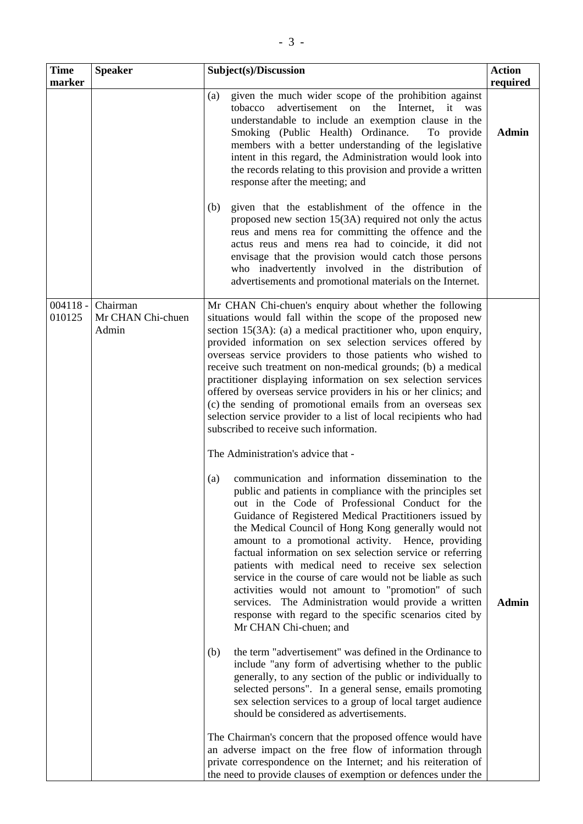| <b>Speaker</b>                         | Subject(s)/Discussion                                                                                                                                                                                                                                                                                                                                                                                                                                                                                                                                                                                                                                                                                                                                                                                                                                                                                                                                                                                                                                                                           | <b>Action</b><br>required               |
|----------------------------------------|-------------------------------------------------------------------------------------------------------------------------------------------------------------------------------------------------------------------------------------------------------------------------------------------------------------------------------------------------------------------------------------------------------------------------------------------------------------------------------------------------------------------------------------------------------------------------------------------------------------------------------------------------------------------------------------------------------------------------------------------------------------------------------------------------------------------------------------------------------------------------------------------------------------------------------------------------------------------------------------------------------------------------------------------------------------------------------------------------|-----------------------------------------|
|                                        | given the much wider scope of the prohibition against<br>(a)<br>advertisement on the Internet, it was<br>tobacco<br>understandable to include an exemption clause in the<br>Smoking (Public Health) Ordinance.<br>To provide<br>members with a better understanding of the legislative<br>intent in this regard, the Administration would look into<br>the records relating to this provision and provide a written<br>response after the meeting; and                                                                                                                                                                                                                                                                                                                                                                                                                                                                                                                                                                                                                                          | <b>Admin</b>                            |
|                                        | given that the establishment of the offence in the<br>(b)<br>proposed new section $15(3A)$ required not only the actus<br>reus and mens rea for committing the offence and the<br>actus reus and mens rea had to coincide, it did not<br>envisage that the provision would catch those persons<br>who inadvertently involved in the distribution of<br>advertisements and promotional materials on the Internet.                                                                                                                                                                                                                                                                                                                                                                                                                                                                                                                                                                                                                                                                                |                                         |
| Chairman<br>Mr CHAN Chi-chuen<br>Admin | Mr CHAN Chi-chuen's enquiry about whether the following<br>situations would fall within the scope of the proposed new<br>section $15(3A)$ : (a) a medical practitioner who, upon enquiry,<br>provided information on sex selection services offered by<br>overseas service providers to those patients who wished to<br>receive such treatment on non-medical grounds; (b) a medical<br>practitioner displaying information on sex selection services<br>offered by overseas service providers in his or her clinics; and<br>(c) the sending of promotional emails from an overseas sex<br>selection service provider to a list of local recipients who had<br>subscribed to receive such information.                                                                                                                                                                                                                                                                                                                                                                                          |                                         |
|                                        | The Administration's advice that -<br>communication and information dissemination to the<br>(a)<br>public and patients in compliance with the principles set<br>out in the Code of Professional Conduct for the<br>Guidance of Registered Medical Practitioners issued by<br>the Medical Council of Hong Kong generally would not<br>amount to a promotional activity. Hence, providing<br>factual information on sex selection service or referring<br>patients with medical need to receive sex selection<br>service in the course of care would not be liable as such<br>activities would not amount to "promotion" of such<br>services. The Administration would provide a written<br>response with regard to the specific scenarios cited by<br>Mr CHAN Chi-chuen; and<br>the term "advertisement" was defined in the Ordinance to<br>(b)<br>include "any form of advertising whether to the public<br>generally, to any section of the public or individually to<br>selected persons". In a general sense, emails promoting<br>sex selection services to a group of local target audience | <b>Admin</b>                            |
|                                        |                                                                                                                                                                                                                                                                                                                                                                                                                                                                                                                                                                                                                                                                                                                                                                                                                                                                                                                                                                                                                                                                                                 | should be considered as advertisements. |

The Chairman's concern that the proposed offence would have an adverse impact on the free flow of information through private correspondence on the Internet; and his reiteration of the need to provide clauses of exemption or defences under the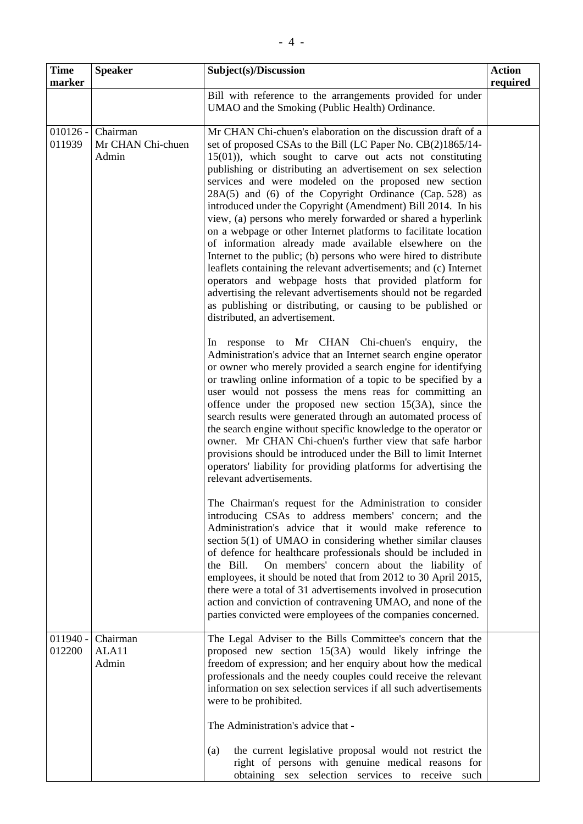| <b>Time</b>          | <b>Speaker</b>                         | Subject(s)/Discussion                                                                                                                                                                                                                                                                                                                                                                                                                                                                                                                                                                                                                                                                                                                                                                                                                                                                                                                                                                                                                                                                                                                                                                                                                                                                                                                                                                                                                                                                                                                                                                                                                                                                                                                                                                                                                                                                                                                                                                                                                                                                                                                                                                                                                                                                                                                                                                                                          | <b>Action</b> |
|----------------------|----------------------------------------|--------------------------------------------------------------------------------------------------------------------------------------------------------------------------------------------------------------------------------------------------------------------------------------------------------------------------------------------------------------------------------------------------------------------------------------------------------------------------------------------------------------------------------------------------------------------------------------------------------------------------------------------------------------------------------------------------------------------------------------------------------------------------------------------------------------------------------------------------------------------------------------------------------------------------------------------------------------------------------------------------------------------------------------------------------------------------------------------------------------------------------------------------------------------------------------------------------------------------------------------------------------------------------------------------------------------------------------------------------------------------------------------------------------------------------------------------------------------------------------------------------------------------------------------------------------------------------------------------------------------------------------------------------------------------------------------------------------------------------------------------------------------------------------------------------------------------------------------------------------------------------------------------------------------------------------------------------------------------------------------------------------------------------------------------------------------------------------------------------------------------------------------------------------------------------------------------------------------------------------------------------------------------------------------------------------------------------------------------------------------------------------------------------------------------------|---------------|
| marker               |                                        | Bill with reference to the arrangements provided for under                                                                                                                                                                                                                                                                                                                                                                                                                                                                                                                                                                                                                                                                                                                                                                                                                                                                                                                                                                                                                                                                                                                                                                                                                                                                                                                                                                                                                                                                                                                                                                                                                                                                                                                                                                                                                                                                                                                                                                                                                                                                                                                                                                                                                                                                                                                                                                     | required      |
|                      |                                        | UMAO and the Smoking (Public Health) Ordinance.                                                                                                                                                                                                                                                                                                                                                                                                                                                                                                                                                                                                                                                                                                                                                                                                                                                                                                                                                                                                                                                                                                                                                                                                                                                                                                                                                                                                                                                                                                                                                                                                                                                                                                                                                                                                                                                                                                                                                                                                                                                                                                                                                                                                                                                                                                                                                                                |               |
| $010126 -$<br>011939 | Chairman<br>Mr CHAN Chi-chuen<br>Admin | Mr CHAN Chi-chuen's elaboration on the discussion draft of a<br>set of proposed CSAs to the Bill (LC Paper No. CB(2)1865/14-<br>$15(01)$ ), which sought to carve out acts not constituting<br>publishing or distributing an advertisement on sex selection<br>services and were modeled on the proposed new section<br>28A(5) and (6) of the Copyright Ordinance (Cap. 528) as<br>introduced under the Copyright (Amendment) Bill 2014. In his<br>view, (a) persons who merely forwarded or shared a hyperlink<br>on a webpage or other Internet platforms to facilitate location<br>of information already made available elsewhere on the<br>Internet to the public; (b) persons who were hired to distribute<br>leaflets containing the relevant advertisements; and (c) Internet<br>operators and webpage hosts that provided platform for<br>advertising the relevant advertisements should not be regarded<br>as publishing or distributing, or causing to be published or<br>distributed, an advertisement.<br>response to Mr CHAN Chi-chuen's enquiry,<br>the<br>In<br>Administration's advice that an Internet search engine operator<br>or owner who merely provided a search engine for identifying<br>or trawling online information of a topic to be specified by a<br>user would not possess the mens reas for committing an<br>offence under the proposed new section $15(3A)$ , since the<br>search results were generated through an automated process of<br>the search engine without specific knowledge to the operator or<br>owner. Mr CHAN Chi-chuen's further view that safe harbor<br>provisions should be introduced under the Bill to limit Internet<br>operators' liability for providing platforms for advertising the<br>relevant advertisements.<br>The Chairman's request for the Administration to consider<br>introducing CSAs to address members' concern; and the<br>Administration's advice that it would make reference to<br>section 5(1) of UMAO in considering whether similar clauses<br>of defence for healthcare professionals should be included in<br>the Bill.<br>On members' concern about the liability of<br>employees, it should be noted that from 2012 to 30 April 2015,<br>there were a total of 31 advertisements involved in prosecution<br>action and conviction of contravening UMAO, and none of the<br>parties convicted were employees of the companies concerned. |               |
| $011940 -$<br>012200 | Chairman<br>ALA11                      | The Legal Adviser to the Bills Committee's concern that the<br>proposed new section 15(3A) would likely infringe the                                                                                                                                                                                                                                                                                                                                                                                                                                                                                                                                                                                                                                                                                                                                                                                                                                                                                                                                                                                                                                                                                                                                                                                                                                                                                                                                                                                                                                                                                                                                                                                                                                                                                                                                                                                                                                                                                                                                                                                                                                                                                                                                                                                                                                                                                                           |               |
|                      | Admin                                  | freedom of expression; and her enquiry about how the medical<br>professionals and the needy couples could receive the relevant<br>information on sex selection services if all such advertisements<br>were to be prohibited.                                                                                                                                                                                                                                                                                                                                                                                                                                                                                                                                                                                                                                                                                                                                                                                                                                                                                                                                                                                                                                                                                                                                                                                                                                                                                                                                                                                                                                                                                                                                                                                                                                                                                                                                                                                                                                                                                                                                                                                                                                                                                                                                                                                                   |               |
|                      |                                        | The Administration's advice that -                                                                                                                                                                                                                                                                                                                                                                                                                                                                                                                                                                                                                                                                                                                                                                                                                                                                                                                                                                                                                                                                                                                                                                                                                                                                                                                                                                                                                                                                                                                                                                                                                                                                                                                                                                                                                                                                                                                                                                                                                                                                                                                                                                                                                                                                                                                                                                                             |               |
|                      |                                        | the current legislative proposal would not restrict the<br>(a)<br>right of persons with genuine medical reasons for<br>obtaining sex selection services to receive such                                                                                                                                                                                                                                                                                                                                                                                                                                                                                                                                                                                                                                                                                                                                                                                                                                                                                                                                                                                                                                                                                                                                                                                                                                                                                                                                                                                                                                                                                                                                                                                                                                                                                                                                                                                                                                                                                                                                                                                                                                                                                                                                                                                                                                                        |               |